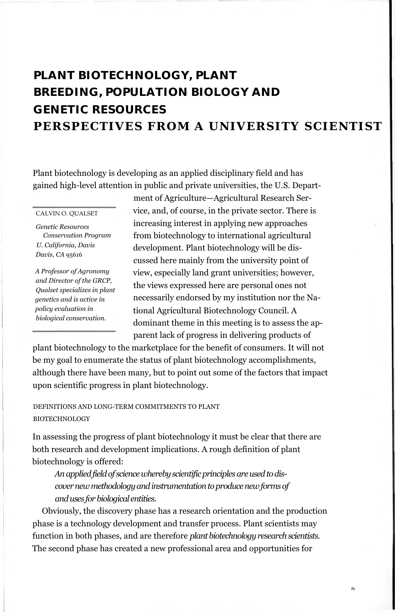# **PLANT BIOTECHNOLOGY, PLANT BREEDING, POPULATION BIOLOGY AND GENETIC RESOURCES PERSPECTIVES FROM A UNIVERSITY SCIENTIS**

Plant biotechnology is developing as an applied disciplinary field and has gained high-level attention in public and private universities, the U.S. Depart-

CALVIN O. QUALSET

*Genetic Resources Conservation Program U. California, Davis Davis, CA* 95616

*A Professor of Agronomy and Director of the GRCP, Qualset specializes in plant genetics and is active in policy evaluation in biological conservation.*

ment of Agriculture—Agricultural Research Service, and, of course, in the private sector. There is increasing interest in applying new approaches from biotechnology to international agricultural development. Plant biotechnology will be discussed here mainly from the university point of view, especially land grant universities; however, the views expressed here are personal ones not necessarily endorsed by my institution nor the National Agricultural Biotechnology Council. A dominant theme in this meeting is to assess the apparent lack of progress in delivering products of

plant biotechnology to the marketplace for the benefit of consumers. It will not be my goal to enumerate the status of plant biotechnology accomplishments, although there have been many, but to point out some of the factors that impact upon scientific progress in plant biotechnology.

DEFINITIONS AND LONG-TERM COMMITMENTS TO PLANT BIOTECHNOLOGY

In assessing the progress of plant biotechnology it must be clear that there are both research and development implications. A rough definition of plant biotechnology is offered:

*An applied field of science whereby scientific principles are used to discover new methodology and instrumentation to produce new forms of and uses for biological entities.*

Obviously, the discovery phase has a research orientation and the production phase is a technology development and transfer process. Plant scientists may function in both phases, and are therefore *plant biotechnology research scientists.* The second phase has created a new professional area and opportunities for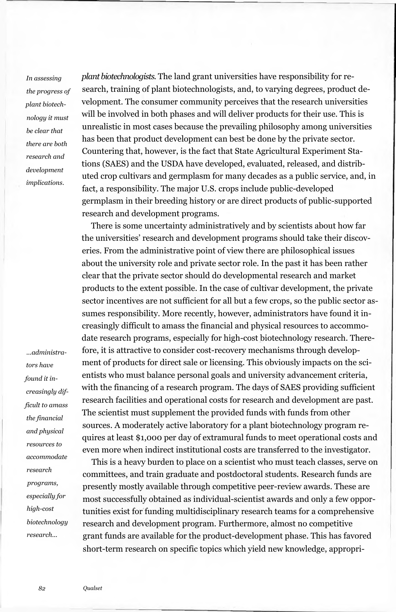*In assessing the progress of plant biotechnology it must be clear that there are both research and development implications.*

*...administrators have found it increasingly difficult to amass the financial and physical resources to accommodate research programs, especially for high-cost biotechnology research...*

*plant biotechnologists.* The land grant universities have responsibility for research, training of plant biotechnologists, and, to varying degrees, product development. The consumer community perceives that the research universities will be involved in both phases and will deliver products for their use. This is unrealistic in most cases because the prevailing philosophy among universities has been that product development can best be done by the private sector. Countering that, however, is the fact that State Agricultural Experiment Stations (SAES) and the USDA have developed, evaluated, released, and distributed crop cultivars and germplasm for many decades as a public service, and, in fact, a responsibility. The major U.S. crops include public-developed germplasm in their breeding history or are direct products of public-supported research and development programs.

There is some uncertainty administratively and by scientists about how far the universities' research and development programs should take their discoveries. From the administrative point of view there are philosophical issues about the university role and private sector role. In the past it has been rather clear that the private sector should do developmental research and market products to the extent possible. In the case of cultivar development, the private sector incentives are not sufficient for all but a few crops, so the public sector assumes responsibility. More recently, however, administrators have found it increasingly difficult to amass the financial and physical resources to accommodate research programs, especially for high-cost biotechnology research. Therefore, it is attractive to consider cost-recovery mechanisms through development of products for direct sale or licensing. This obviously impacts on the scientists who must balance personal goals and university advancement criteria, with the financing of a research program. The days of SAES providing sufficient research facilities and operational costs for research and development are past. The scientist must supplement the provided funds with funds from other sources. A moderately active laboratory for a plant biotechnology program requires at least \$1,000 per day of extramural funds to meet operational costs and even more when indirect institutional costs are transferred to the investigator.

This is a heavy burden to place on a scientist who must teach classes, serve on committees, and train graduate and postdoctoral students. Research funds are presently mostly available through competitive peer-review awards. These are most successfully obtained as individual-scientist awards and only a few opportunities exist for funding multidisciplinary research teams for a comprehensive research and development program. Furthermore, almost no competitive grant funds are available for the product-development phase. This has favored short-term research on specific topics which yield new knowledge, appropri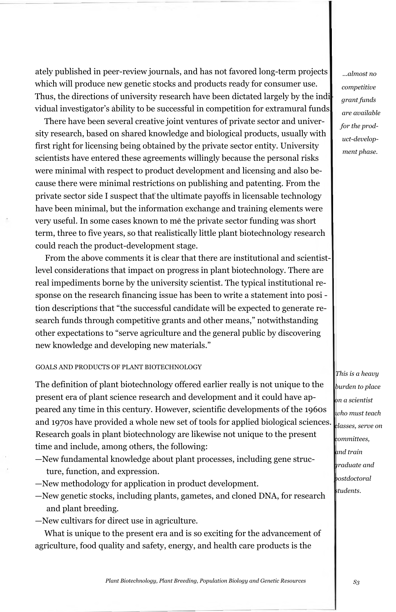ately published in peer-review journals, and has not favored long-term projects which will produce new genetic stocks and products ready for consumer use. Thus, the directions of university research have been dictated largely by the individual investigator's ability to be successful in competition for extramural funds.

There have been several creative joint ventures of private sector and university research, based on shared knowledge and biological products, usually with first right for licensing being obtained by the private sector entity. University scientists have entered these agreements willingly because the personal risks were minimal with respect to product development and licensing and also because there were minimal restrictions on publishing and patenting. From the private sector side I suspect that the ultimate payoffs in licensable technology have been minimal, but the information exchange and training elements were very useful. In some cases known to me the private sector funding was short term, three to five years, so that realistically little plant biotechnology research could reach the product-development stage.

From the above comments it is clear that there are institutional and scientistlevel considerations that impact on progress in plant biotechnology. There are real impediments borne by the university scientist. The typical institutional response on the research financing issue has been to write a statement into posi tion descriptions that "the successful candidate will be expected to generate research funds through competitive grants and other means," notwithstanding other expectations to "serve agriculture and the general public by discovering new knowledge and developing new materials."

## GOALS AND PRODUCTS OF PLANT BIOTECHNOLOGY

The definition of plant biotechnology offered earlier really is not unique to the present era of plant science research and development and it could have appeared any time in this century. However, scientific developments of the 1960s and 1970s have provided a whole new set of tools for applied biological sciences. Research goals in plant biotechnology are likewise not unique to the present time and include, among others, the following:

- —New fundamental knowledge about plant processes, including gene structure, function, and expression.
- —New methodology for application in product development.
- —New genetic stocks, including plants, gametes, and cloned DNA, for research and plant breeding.
- —New cultivars for direct use in agriculture.

What is unique to the present era and is so exciting for the advancement of agriculture, food quality and safety, energy, and health care products is the

*...almost no competitive grant funds are available for the product-development phase.*

*This is a heavy burden to place on a scientist who must teach classes, serve on committees, and train graduate and postdoctoral students.*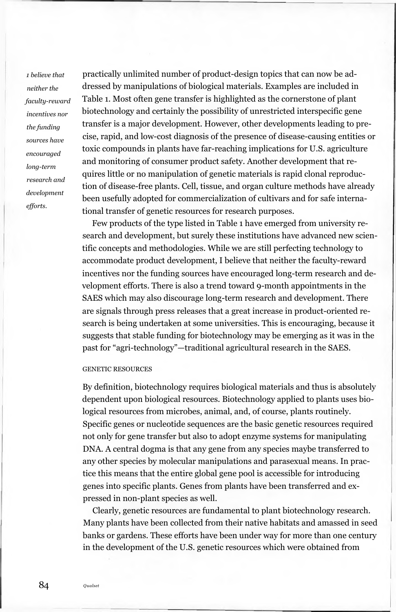*1 believe that neither the faculty-reward incentives nor the funding sources have encouraged long-term research and development efforts.*

practically unlimited number of product-design topics that can now be addressed by manipulations of biological materials. Examples are included in Table 1. Most often gene transfer is highlighted as the cornerstone of plant biotechnology and certainly the possibility of unrestricted interspecific gene transfer is a major development. However, other developments leading to precise, rapid, and low-cost diagnosis of the presence of disease-causing entities or toxic compounds in plants have far-reaching implications for U.S. agriculture and monitoring of consumer product safety. Another development that requires little or no manipulation of genetic materials is rapid clonal reproduction of disease-free plants. Cell, tissue, and organ culture methods have already been usefully adopted for commercialization of cultivars and for safe international transfer of genetic resources for research purposes.

Few products of the type listed in Table 1 have emerged from university research and development, but surely these institutions have advanced new scientific concepts and methodologies. While we are still perfecting technology to accommodate product development, I believe that neither the faculty-reward incentives nor the funding sources have encouraged long-term research and development efforts. There is also a trend toward 9-month appointments in the SAES which may also discourage long-term research and development. There are signals through press releases that a great increase in product-oriented research is being undertaken at some universities. This is encouraging, because it suggests that stable funding for biotechnology may be emerging as it was in the past for "agri-technology"—traditional agricultural research in the SAES.

### GENETIC RESOURCES

By definition, biotechnology requires biological materials and thus is absolutely dependent upon biological resources. Biotechnology applied to plants uses biological resources from microbes, animal, and, of course, plants routinely. Specific genes or nucleotide sequences are the basic genetic resources required not only for gene transfer but also to adopt enzyme systems for manipulating DNA. A central dogma is that any gene from any species maybe transferred to any other species by molecular manipulations and parasexual means. In practice this means that the entire global gene pool is accessible for introducing genes into specific plants. Genes from plants have been transferred and expressed in non-plant species as well.

Clearly, genetic resources are fundamental to plant biotechnology research. Many plants have been collected from their native habitats and amassed in seed banks or gardens. These efforts have been under way for more than one century in the development of the U.S. genetic resources which were obtained from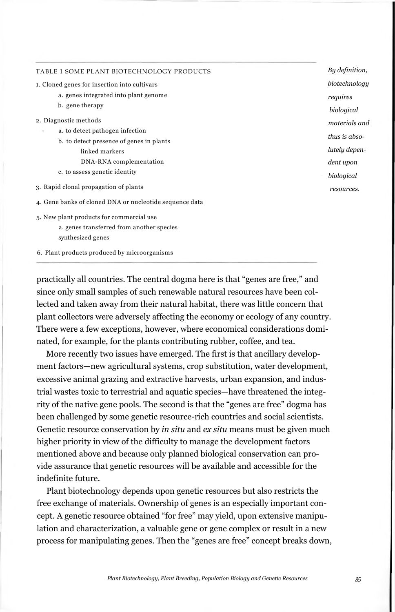| TABLE 1 SOME PLANT BIOTECHNOLOGY PRODUCTS               | By definition. |
|---------------------------------------------------------|----------------|
| 1. Cloned genes for insertion into cultivars            | biotechnology  |
| a. genes integrated into plant genome                   | requires       |
| b. gene therapy                                         | biological     |
| 2. Diagnostic methods                                   | materials and  |
| a. to detect pathogen infection                         |                |
| b. to detect presence of genes in plants                | thus is abso-  |
| linked markers                                          | lutely depen-  |
| DNA-RNA complementation                                 | dent upon      |
| c. to assess genetic identity                           | biological     |
| 3. Rapid clonal propagation of plants                   | resources.     |
| 4. Gene banks of cloned DNA or nucleotide sequence data |                |
| 5. New plant products for commercial use                |                |
| a, genes transferred from another species               |                |
| synthesized genes                                       |                |

6. Plant products produced by microorganisms

practically all countries. The central dogma here is that "genes are free," and since only small samples of such renewable natural resources have been collected and taken away from their natural habitat, there was little concern that plant collectors were adversely affecting the economy or ecology of any country. There were a few exceptions, however, where economical considerations dominated, for example, for the plants contributing rubber, coffee, and tea.

More recently two issues have emerged. The first is that ancillary development factors—new agricultural systems, crop substitution, water development, excessive animal grazing and extractive harvests, urban expansion, and industrial wastes toxic to terrestrial and aquatic species—have threatened the integrity of the native gene pools. The second is that the "genes are free" dogma has been challenged by some genetic resource-rich countries and social scientists. Genetic resource conservation by *in situ* and *ex situ* means must be given much higher priority in view of the difficulty to manage the development factors mentioned above and because only planned biological conservation can provide assurance that genetic resources will be available and accessible for the indefinite future.

Plant biotechnology depends upon genetic resources but also restricts the free exchange of materials. Ownership of genes is an especially important concept. A genetic resource obtained "for free" may yield, upon extensive manipulation and characterization, a valuable gene or gene complex or result in a new process for manipulating genes. Then the "genes are free" concept breaks down,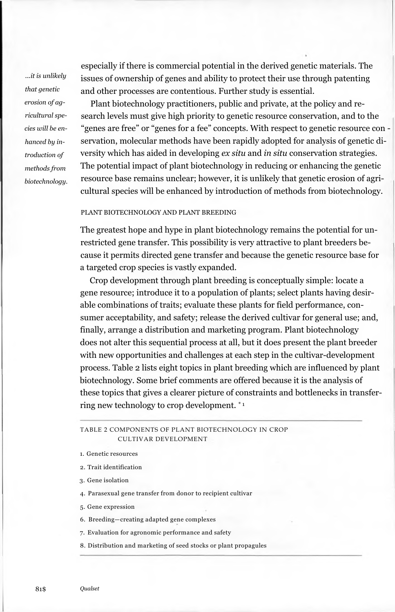*...it is unlikely that genetic erosion of agricultural species will be enhanced by introduction of methods from biotechnology.* especially if there is commercial potential in the derived genetic materials. The issues of ownership of genes and ability to protect their use through patenting and other processes are contentious. Further study is essential.

Plant biotechnology practitioners, public and private, at the policy and research levels must give high priority to genetic resource conservation, and to the "genes are free" or "genes for a fee" concepts. With respect to genetic resource con servation, molecular methods have been rapidly adopted for analysis of genetic diversity which has aided in developing *ex situ* and *in situ* conservation strategies. The potential impact of plant biotechnology in reducing or enhancing the genetic resource base remains unclear; however, it is unlikely that genetic erosion of agricultural species will be enhanced by introduction of methods from biotechnology.

# PLANT BIOTECHNOLOGY AND PLANT BREEDING

The greatest hope and hype in plant biotechnology remains the potential for unrestricted gene transfer. This possibility is very attractive to plant breeders because it permits directed gene transfer and because the genetic resource base for a targeted crop species is vastly expanded.

Crop development through plant breeding is conceptually simple: locate a gene resource; introduce it to a population of plants; select plants having desirable combinations of traits; evaluate these plants for field performance, consumer acceptability, and safety; release the derived cultivar for general use; and, finally, arrange a distribution and marketing program. Plant biotechnology does not alter this sequential process at all, but it does present the plant breeder with new opportunities and challenges at each step in the cultivar-development process. Table 2 lists eight topics in plant breeding which are influenced by plant biotechnology. Some brief comments are offered because it is the analysis of these topics that gives a clearer picture of constraints and bottlenecks in transferring new technology to crop development. \* 1

TABLE 2 COMPONENTS OF PLANT BIOTECHNOLOGY IN CROP CULTIVAR DEVELOPMENT

- 1. Genetic resources
- 2. Trait identification
- 3. Gene isolation
- 4. Parasexual gene transfer from donor to recipient cultivar
- 5. Gene expression
- 6. Breeding—creating adapted gene complexes
- 7. Evaluation for agronomic performance and safety
- 8. Distribution and marketing of seed stocks or plant propagules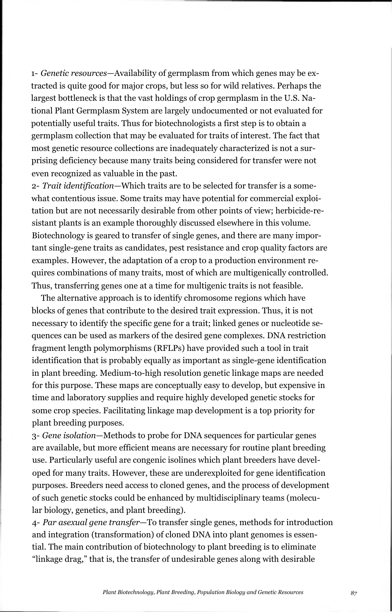1- *Genetic resources*—Availability of germplasm from which genes may be extracted is quite good for major crops, but less so for wild relatives. Perhaps the largest bottleneck is that the vast holdings of crop germplasm in the U.S. National Plant Germplasm System are largely undocumented or not evaluated for potentially useful traits. Thus for biotechnologists a first step is to obtain a germplasm collection that may be evaluated for traits of interest. The fact that most genetic resource collections are inadequately characterized is not a surprising deficiency because many traits being considered for transfer were not even recognized as valuable in the past.

2- *Trait identification*—Which traits are to be selected for transfer is a somewhat contentious issue. Some traits may have potential for commercial exploitation but are not necessarily desirable from other points of view; herbicide-resistant plants is an example thoroughly discussed elsewhere in this volume. Biotechnology is geared to transfer of single genes, and there are many important single-gene traits as candidates, pest resistance and crop quality factors are examples. However, the adaptation of a crop to a production environment requires combinations of many traits, most of which are multigenically controlled. Thus, transferring genes one at a time for multigenic traits is not feasible.

The alternative approach is to identify chromosome regions which have blocks of genes that contribute to the desired trait expression. Thus, it is not necessary to identify the specific gene for a trait; linked genes or nucleotide sequences can be used as markers of the desired gene complexes. DNA restriction fragment length polymorphisms (RFLPs) have provided such a tool in trait identification that is probably equally as important as single-gene identification in plant breeding. Medium-to-high resolution genetic linkage maps are needed for this purpose. These maps are conceptually easy to develop, but expensive in time and laboratory supplies and require highly developed genetic stocks for some crop species. Facilitating linkage map development is a top priority for plant breeding purposes.

3- *Gene isolation*—Methods to probe for DNA sequences for particular genes are available, but more efficient means are necessary for routine plant breeding use. Particularly useful are congenic isolines which plant breeders have developed for many traits. However, these are underexploited for gene identification purposes. Breeders need access to cloned genes, and the process of development of such genetic stocks could be enhanced by multidisciplinary teams (molecular biology, genetics, and plant breeding).

4- *Par asexual gene transfer*—To transfer single genes, methods for introduction and integration (transformation) of cloned DNA into plant genomes is essential. The main contribution of biotechnology to plant breeding is to eliminate "linkage drag," that is, the transfer of undesirable genes along with desirable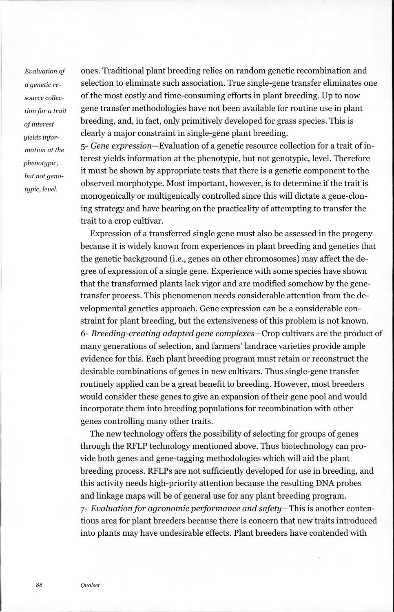*Evaluation of a genetic resource collection for a trait of interest yields information at the phenotypic, but not genotypic, level.*

ones. Traditional plant breeding relies on random genetic recombination and selection to eliminate such association. True single-gene transfer eliminates one of the most costly and time-consuming efforts in plant breeding. Up to now gene transfer methodologies have not been available for routine use in plant breeding, and, in fact, only primitively developed for grass species. This is clearly a major constraint in single-gene plant breeding.

5- *Gene expression*—Evaluation of a genetic resource collection for a trait of interest yields information at the phenotypic, but not genotypic, level. Therefore it must be shown by appropriate tests that there is a genetic component to the observed morphotype. Most important, however, is to determine if the trait is monogenically or multigenically controlled since this will dictate a gene-cloning strategy and have bearing on the practicality of attempting to transfer the trait to a crop cultivar.

Expression of a transferred single gene must also be assessed in the progeny because it is widely known from experiences in plant breeding and genetics that the genetic background (i.e., genes on other chromosomes) may affect the degree of expression of a single gene. Experience with some species have shown that the transformed plants lack vigor and are modified somehow by the genetransfer process. This phenomenon needs considerable attention from the developmental genetics approach. Gene expression can be a considerable constraint for plant breeding, but the extensiveness of this problem is not known. 6- *Breeding-creating adapted gene complexes*—Crop cultivars are the product of many generations of selection, and farmers' landrace varieties provide ample evidence for this. Each plant breeding program must retain or reconstruct the desirable combinations of genes in new cultivars. Thus single-gene transfer routinely applied can be a great benefit to breeding. However, most breeders would consider these genes to give an expansion of their gene pool and would incorporate them into breeding populations for recombination with other genes controlling many other traits.

The new technology offers the possibility of selecting for groups of genes through the RFLP technology mentioned above. Thus biotechnology can provide both genes and gene-tagging methodologies which will aid the plant breeding process. RFLPs are not sufficiently developed for use in breeding, and this activity needs high-priority attention because the resulting DNA probes and linkage maps will be of general use for any plant breeding program. 7- *Evaluation for agronomic performance and safety*—This is another contentious area for plant breeders because there is concern that new traits introduced into plants may have undesirable effects. Plant breeders have contended with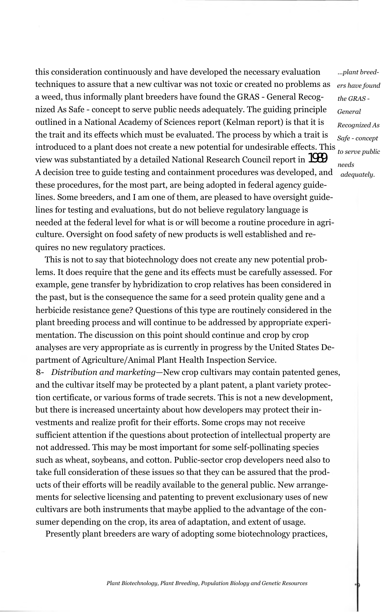this consideration continuously and have developed the necessary evaluation techniques to assure that a new cultivar was not toxic or created no problems as a weed, thus informally plant breeders have found the GRAS - General Recognized As Safe - concept to serve public needs adequately. The guiding principle outlined in a National Academy of Sciences report (Kelman report) is that it is the trait and its effects which must be evaluated. The process by which a trait is introduced to a plant does not create a new potential for undesirable effects. This view was substantiated by a detailed National Research Council report in 1989. A decision tree to guide testing and containment procedures was developed, and these procedures, for the most part, are being adopted in federal agency guidelines. Some breeders, and I am one of them, are pleased to have oversight guidelines for testing and evaluations, but do not believe regulatory language is needed at the federal level for what is or will become a routine procedure in agriculture. Oversight on food safety of new products is well established and requires no new regulatory practices. *...plant breed-*

This is not to say that biotechnology does not create any new potential problems. It does require that the gene and its effects must be carefully assessed. For example, gene transfer by hybridization to crop relatives has been considered in the past, but is the consequence the same for a seed protein quality gene and a herbicide resistance gene? Questions of this type are routinely considered in the plant breeding process and will continue to be addressed by appropriate experimentation. The discussion on this point should continue and crop by crop analyses are very appropriate as is currently in progress by the United States Department of Agriculture/Animal Plant Health Inspection Service.

8- *Distribution and marketing*—New crop cultivars may contain patented genes, and the cultivar itself may be protected by a plant patent, a plant variety protection certificate, or various forms of trade secrets. This is not a new development, but there is increased uncertainty about how developers may protect their investments and realize profit for their efforts. Some crops may not receive sufficient attention if the questions about protection of intellectual property are not addressed. This may be most important for some self-pollinating species such as wheat, soybeans, and cotton. Public-sector crop developers need also to take full consideration of these issues so that they can be assured that the products of their efforts will be readily available to the general public. New arrangements for selective licensing and patenting to prevent exclusionary uses of new cultivars are both instruments that maybe applied to the advantage of the consumer depending on the crop, its area of adaptation, and extent of usage.

Presently plant breeders are wary of adopting some biotechnology practices,

*ers have found the GRAS* - *General Recognized As Safe - concept to serve public needs adequately.*